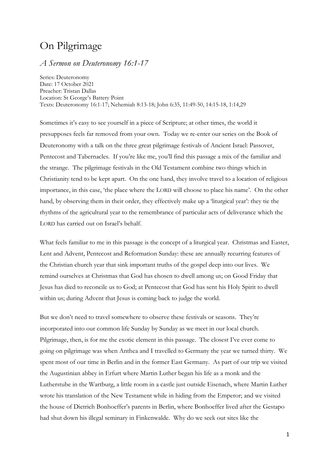# On Pilgrimage

## *A Sermon on Deuteronomy 16:1-17*

Series: Deuteronomy Date: 17 October 2021 Preacher: Tristan Dallas Location: St George's Battery Point Texts: Deuteronomy 16:1-17; Nehemiah 8:13-18; John 6:35, 11:49-50, 14:15-18, 1:14,29

Sometimes it's easy to see yourself in a piece of Scripture; at other times, the world it presupposes feels far removed from your own. Today we re-enter our series on the Book of Deuteronomy with a talk on the three great pilgrimage festivals of Ancient Israel: Passover, Pentecost and Tabernacles. If you're like me, you'll find this passage a mix of the familiar and the strange. The pilgrimage festivals in the Old Testament combine two things which in Christianity tend to be kept apart. On the one hand, they involve travel to a location of religious importance, in this case, 'the place where the LORD will choose to place his name'. On the other hand, by observing them in their order, they effectively make up a 'liturgical year': they tie the rhythms of the agricultural year to the remembrance of particular acts of deliverance which the LORD has carried out on Israel's behalf.

What feels familiar to me in this passage is the concept of a liturgical year. Christmas and Easter, Lent and Advent, Pentecost and Reformation Sunday: these are annually recurring features of the Christian church year that sink important truths of the gospel deep into our lives. We remind ourselves at Christmas that God has chosen to dwell among us; on Good Friday that Jesus has died to reconcile us to God; at Pentecost that God has sent his Holy Spirit to dwell within us; during Advent that Jesus is coming back to judge the world.

But we don't need to travel somewhere to observe these festivals or seasons. They're incorporated into our common life Sunday by Sunday as we meet in our local church. Pilgrimage, then, is for me the exotic element in this passage. The closest I've ever come to going on pilgrimage was when Anthea and I travelled to Germany the year we turned thirty. We spent most of our time in Berlin and in the former East Germany. As part of our trip we visited the Augustinian abbey in Erfurt where Martin Luther began his life as a monk and the Lutherstube in the Wartburg, a little room in a castle just outside Eisenach, where Martin Luther wrote his translation of the New Testament while in hiding from the Emperor; and we visited the house of Dietrich Bonhoeffer's parents in Berlin, where Bonhoeffer lived after the Gestapo had shut down his illegal seminary in Finkenwalde. Why do we seek out sites like the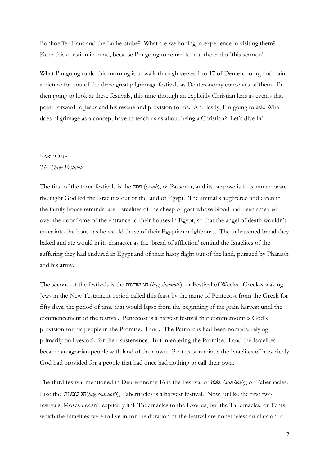Bonhoeffer Haus and the Lutherstube? What are we hoping to experience in visiting them? Keep this question in mind, because I'm going to return to it at the end of this sermon!

What I'm going to do this morning is to walk through verses 1 to 17 of Deuteronomy, and paint a picture for you of the three great pilgrimage festivals as Deuteronomy conceives of them. I'm then going to look at these festivals, this time through an explicitly Christian lens as events that point forward to Jesus and his rescue and provision for us. And lastly, I'm going to ask: What does pilgrimage as a concept have to teach us as about being a Christian? Let's dive in!—

## PART ONE

#### *The Three Festivals*

The first of the three festivals is the פסח) *pesah*), or Passover, and its purpose is to commemorate the night God led the Israelites out of the land of Egypt. The animal slaughtered and eaten in the family house reminds later Israelites of the sheep or goat whose blood had been smeared over the doorframe of the entrance to their houses in Egypt, so that the angel of death wouldn't enter into the house as he would those of their Egyptian neighbours. The unleavened bread they baked and ate would in its character as the 'bread of affliction' remind the Israelites of the suffering they had endured in Egypt and of their hasty flight out of the land, pursued by Pharaoh and his army.

The second of the festivals is the שבעות חג) *hag shavuoth*), or Festival of Weeks. Greek-speaking Jews in the New Testament period called this feast by the name of Pentecost from the Greek for fifty days, the period of time that would lapse from the beginning of the grain harvest until the commencement of the festival. Pentecost is a harvest festival that commemorates God's provision for his people in the Promised Land. The Patriarchs had been nomads, relying primarily on livestock for their sustenance. But in entering the Promised Land the Israelites became an agrarian people with land of their own. Pentecost reminds the Israelites of how richly God had provided for a people that had once had nothing to call their own.

The third festival mentioned in Deuteronomy 16 is the Festival of סכת,) *sukkoth*), or Tabernacles. Like the שבעות חג)*hag shavuoth*), Tabernacles is a harvest festival. Now, unlike the first two festivals, Moses doesn't explicitly link Tabernacles to the Exodus, but the Tabernacles, or Tents, which the Israelites were to live in for the duration of the festival are nonetheless an allusion to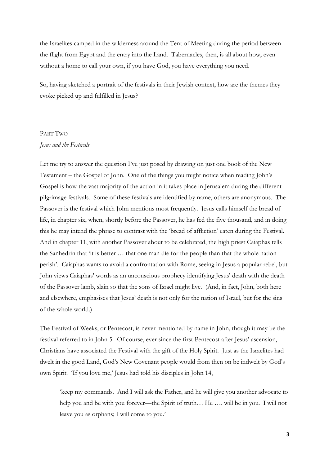the Israelites camped in the wilderness around the Tent of Meeting during the period between the flight from Egypt and the entry into the Land. Tabernacles, then, is all about how, even without a home to call your own, if you have God, you have everything you need.

So, having sketched a portrait of the festivals in their Jewish context, how are the themes they evoke picked up and fulfilled in Jesus?

# PART TWO *Jesus and the Festivals*

Let me try to answer the question I've just posed by drawing on just one book of the New Testament – the Gospel of John. One of the things you might notice when reading John's Gospel is how the vast majority of the action in it takes place in Jerusalem during the different pilgrimage festivals. Some of these festivals are identified by name, others are anonymous. The Passover is the festival which John mentions most frequently. Jesus calls himself the bread of life, in chapter six, when, shortly before the Passover, he has fed the five thousand, and in doing this he may intend the phrase to contrast with the 'bread of affliction' eaten during the Festival. And in chapter 11, with another Passover about to be celebrated, the high priest Caiaphas tells the Sanhedrin that 'it is better … that one man die for the people than that the whole nation perish'. Caiaphas wants to avoid a confrontation with Rome, seeing in Jesus a popular rebel, but John views Caiaphas' words as an unconscious prophecy identifying Jesus' death with the death of the Passover lamb, slain so that the sons of Israel might live. (And, in fact, John, both here and elsewhere, emphasises that Jesus' death is not only for the nation of Israel, but for the sins of the whole world.)

The Festival of Weeks, or Pentecost, is never mentioned by name in John, though it may be the festival referred to in John 5. Of course, ever since the first Pentecost after Jesus' ascension, Christians have associated the Festival with the gift of the Holy Spirit. Just as the Israelites had dwelt in the good Land, God's New Covenant people would from then on be indwelt by God's own Spirit. 'If you love me,' Jesus had told his disciples in John 14,

'keep my commands. And I will ask the Father, and he will give you another advocate to help you and be with you forever—the Spirit of truth... He .... will be in you. I will not leave you as orphans; I will come to you.'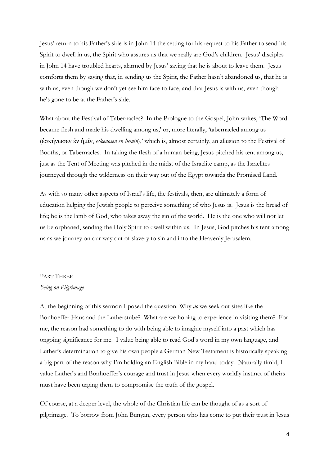Jesus' return to his Father's side is in John 14 the setting for his request to his Father to send his Spirit to dwell in us, the Spirit who assures us that we really are God's children. Jesus' disciples in John 14 have troubled hearts, alarmed by Jesus' saying that he is about to leave them. Jesus comforts them by saying that, in sending us the Spirit, the Father hasn't abandoned us, that he is with us, even though we don't yet see him face to face, and that Jesus is with us, even though he's gone to be at the Father's side.

What about the Festival of Tabernacles? In the Prologue to the Gospel, John writes, 'The Word became flesh and made his dwelling among us,' or, more literally, 'tabernacled among us (ἐσκήνωσεν ἐν ἡμῖν, *eskenosen en hemin*),' which is, almost certainly, an allusion to the Festival of Booths, or Tabernacles. In taking the flesh of a human being, Jesus pitched his tent among us, just as the Tent of Meeting was pitched in the midst of the Israelite camp, as the Israelites journeyed through the wilderness on their way out of the Egypt towards the Promised Land.

As with so many other aspects of Israel's life, the festivals, then, are ultimately a form of education helping the Jewish people to perceive something of who Jesus is. Jesus is the bread of life; he is the lamb of God, who takes away the sin of the world. He is the one who will not let us be orphaned, sending the Holy Spirit to dwell within us. In Jesus, God pitches his tent among us as we journey on our way out of slavery to sin and into the Heavenly Jerusalem.

#### PART THREE

## *Being on Pilgrimage*

At the beginning of this sermon I posed the question: Why *do* we seek out sites like the Bonhoeffer Haus and the Lutherstube? What are we hoping to experience in visiting them? For me, the reason had something to do with being able to imagine myself into a past which has ongoing significance for me. I value being able to read God's word in my own language, and Luther's determination to give his own people a German New Testament is historically speaking a big part of the reason why I'm holding an English Bible in my hand today. Naturally timid, I value Luther's and Bonhoeffer's courage and trust in Jesus when every worldly instinct of theirs must have been urging them to compromise the truth of the gospel.

Of course, at a deeper level, the whole of the Christian life can be thought of as a sort of pilgrimage. To borrow from John Bunyan, every person who has come to put their trust in Jesus